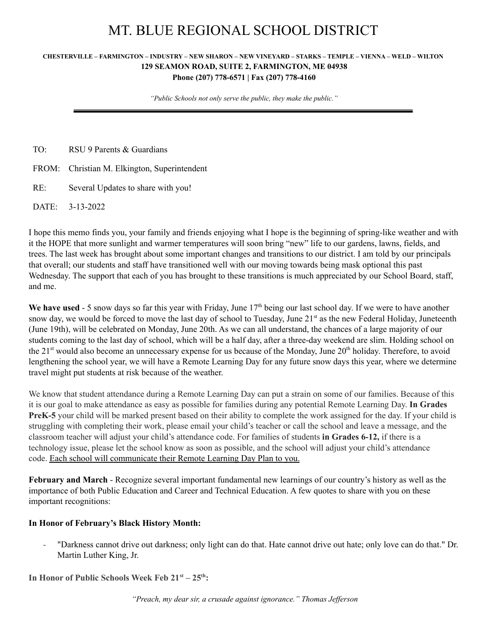# MT. BLUE REGIONAL SCHOOL DISTRICT

#### CHESTERVILLE - FARMINGTON - INDUSTRY - NEW SHARON - NEW VINEYARD - STARKS - TEMPLE - VIENNA - WELD - WILTON **129 SEAMON ROAD, SUITE 2, FARMINGTON, ME 04938 Phone (207) 778-6571 | Fax (207) 778-4160**

*"Public Schools not only serve the public, they make the public."*

| TO: | RSU 9 Parents & Guardians                    |
|-----|----------------------------------------------|
|     | FROM: Christian M. Elkington, Superintendent |
| RE: | Several Updates to share with you!           |
|     | DATE: 3-13-2022                              |

I hope this memo finds you, your family and friends enjoying what I hope is the beginning of spring-like weather and with it the HOPE that more sunlight and warmer temperatures will soon bring "new" life to our gardens, lawns, fields, and trees. The last week has brought about some important changes and transitions to our district. I am told by our principals that overall; our students and staff have transitioned well with our moving towards being mask optional this past Wednesday. The support that each of you has brought to these transitions is much appreciated by our School Board, staff, and me.

We have used - 5 snow days so far this year with Friday, June 17<sup>th</sup> being our last school day. If we were to have another snow day, we would be forced to move the last day of school to Tuesday, June 21<sup>st</sup> as the new Federal Holiday, Juneteenth (June 19th), will be celebrated on Monday, June 20th. As we can all understand, the chances of a large majority of our students coming to the last day of school, which will be a half day, after a three-day weekend are slim. Holding school on the 21<sup>st</sup> would also become an unnecessary expense for us because of the Monday, June 20<sup>th</sup> holiday. Therefore, to avoid lengthening the school year, we will have a Remote Learning Day for any future snow days this year, where we determine travel might put students at risk because of the weather.

We know that student attendance during a Remote Learning Day can put a strain on some of our families. Because of this it is our goal to make attendance as easy as possible for families during any potential Remote Learning Day. **In Grades PreK-5** your child will be marked present based on their ability to complete the work assigned for the day. If your child is struggling with completing their work, please email your child's teacher or call the school and leave a message, and the classroom teacher will adjust your child's attendance code. For families of students **in Grades 6-12,** if there is a technology issue, please let the school know as soon as possible, and the school will adjust your child's attendance code. Each school will communicate their Remote Learning Day Plan to you.

**February and March** - Recognize several important fundamental new learnings of our country's history as well as the importance of both Public Education and Career and Technical Education. A few quotes to share with you on these important recognitions:

### **In Honor of February's Black History Month:**

- "Darkness cannot drive out darkness; only light can do that. Hate cannot drive out hate; only love can do that." Dr. Martin Luther King, Jr.

**In Honor of Public Schools Week Feb 21 st – 25 th :**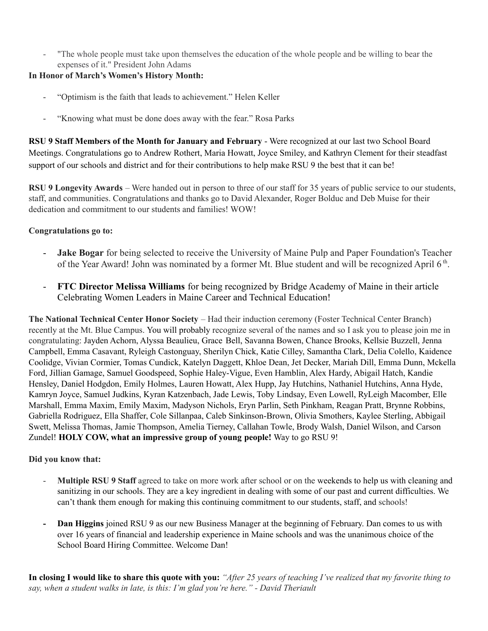- "The whole people must take upon themselves the education of the whole people and be willing to bear the expenses of it." President John Adams

# **In Honor of March's Women's History Month:**

- "Optimism is the faith that leads to achievement." Helen Keller
- "Knowing what must be done does away with the fear." Rosa Parks

**RSU 9 Staff Members of the Month for January and February** - Were recognized at our last two School Board Meetings. Congratulations go to Andrew Rothert, Maria Howatt, Joyce Smiley, and Kathryn Clement for their steadfast support of our schools and district and for their contributions to help make RSU 9 the best that it can be!

**RSU 9 Longevity Awards** – Were handed out in person to three of our staff for 35 years of public service to our students, staff, and communities. Congratulations and thanks go to David Alexander, Roger Bolduc and Deb Muise for their dedication and commitment to our students and families! WOW!

# **Congratulations go to:**

- **Jake Bogar** for being selected to receive the University of Maine Pulp and Paper Foundation's Teacher of the Year Award! John was nominated by a former Mt. Blue student and will be recognized April 6<sup>th</sup>.
- **FTC Director Melissa Williams** for being recognized by Bridge Academy of Maine in their article Celebrating Women Leaders in Maine Career and Technical Education!

**The National Technical Center Honor Society** – Had their induction ceremony (Foster Technical Center Branch) recently at the Mt. Blue Campus. You will probably recognize several of the names and so I ask you to please join me in congratulating: Jayden Achorn, Alyssa Beaulieu, Grace Bell, Savanna Bowen, Chance Brooks, Kellsie Buzzell, Jenna Campbell, Emma Casavant, Ryleigh Castonguay, Sherilyn Chick, Katie Cilley, Samantha Clark, Delia Colello, Kaidence Coolidge, Vivian Cormier, Tomas Cundick, Katelyn Daggett, Khloe Dean, Jet Decker, Mariah Dill, Emma Dunn, Mckella Ford, Jillian Gamage, Samuel Goodspeed, Sophie Haley-Vigue, Even Hamblin, Alex Hardy, Abigail Hatch, Kandie Hensley, Daniel Hodgdon, Emily Holmes, Lauren Howatt, Alex Hupp, Jay Hutchins, Nathaniel Hutchins, Anna Hyde, Kamryn Joyce, Samuel Judkins, Kyran Katzenbach, Jade Lewis, Toby Lindsay, Even Lowell, RyLeigh Macomber, Elle Marshall, Emma Maxim, Emily Maxim, Madyson Nichols, Eryn Parlin, Seth Pinkham, Reagan Pratt, Brynne Robbins, Gabriella Rodriguez, Ella Shaffer, Cole Sillanpaa, Caleb Sinkinson-Brown, Olivia Smothers, Kaylee Sterling, Abbigail Swett, Melissa Thomas, Jamie Thompson, Amelia Tierney, Callahan Towle, Brody Walsh, Daniel Wilson, and Carson Zundel! **HOLY COW, what an impressive group of young people!** Way to go RSU 9!

### **Did you know that:**

- **Multiple RSU 9 Staff** agreed to take on more work after school or on the weekends to help us with cleaning and sanitizing in our schools. They are a key ingredient in dealing with some of our past and current difficulties. We can't thank them enough for making this continuing commitment to our students, staff, and schools!
- **- Dan Higgins** joined RSU 9 as our new Business Manager at the beginning of February. Dan comes to us with over 16 years of financial and leadership experience in Maine schools and was the unanimous choice of the School Board Hiring Committee. Welcome Dan!

In closing I would like to share this quote with you: "After 25 years of teaching I've realized that my favorite thing to *say, when a student walks in late, is this: I'm glad you're here." - David Theriault*